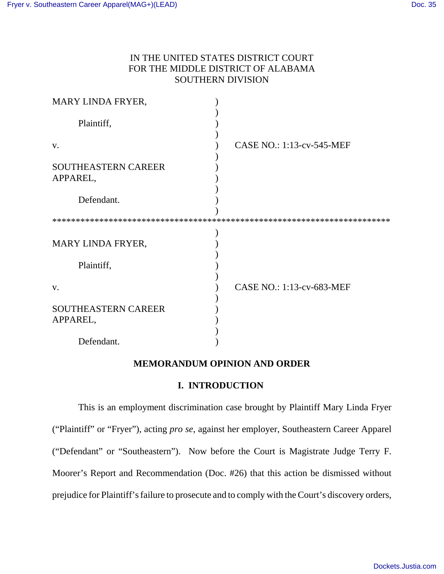# IN THE UNITED STATES DISTRICT COURT FOR THE MIDDLE DISTRICT OF ALABAMA SOUTHERN DIVISION

| MARY LINDA FRYER,                      |                           |
|----------------------------------------|---------------------------|
| Plaintiff,                             |                           |
| V.                                     | CASE NO.: 1:13-cv-545-MEF |
| SOUTHEASTERN CAREER<br>APPAREL,        |                           |
| Defendant.                             |                           |
|                                        |                           |
| MARY LINDA FRYER,                      |                           |
| Plaintiff,                             |                           |
| V.                                     | CASE NO.: 1:13-cv-683-MEF |
| <b>SOUTHEASTERN CAREER</b><br>APPAREL, |                           |
| Defendant.                             |                           |

# **MEMORANDUM OPINION AND ORDER**

### **I. INTRODUCTION**

This is an employment discrimination case brought by Plaintiff Mary Linda Fryer ("Plaintiff" or "Fryer"), acting *pro se*, against her employer, Southeastern Career Apparel ("Defendant" or "Southeastern"). Now before the Court is Magistrate Judge Terry F. Moorer's Report and Recommendation (Doc. #26) that this action be dismissed without prejudice for Plaintiff's failure to prosecute and to comply with the Court's discovery orders,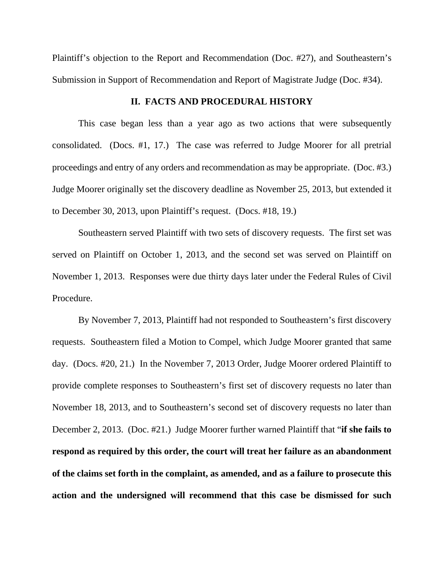Plaintiff's objection to the Report and Recommendation (Doc. #27), and Southeastern's Submission in Support of Recommendation and Report of Magistrate Judge (Doc. #34).

### **II. FACTS AND PROCEDURAL HISTORY**

This case began less than a year ago as two actions that were subsequently consolidated. (Docs. #1, 17.) The case was referred to Judge Moorer for all pretrial proceedings and entry of any orders and recommendation as may be appropriate. (Doc. #3.) Judge Moorer originally set the discovery deadline as November 25, 2013, but extended it to December 30, 2013, upon Plaintiff's request. (Docs. #18, 19.)

Southeastern served Plaintiff with two sets of discovery requests. The first set was served on Plaintiff on October 1, 2013, and the second set was served on Plaintiff on November 1, 2013. Responses were due thirty days later under the Federal Rules of Civil Procedure.

By November 7, 2013, Plaintiff had not responded to Southeastern's first discovery requests. Southeastern filed a Motion to Compel, which Judge Moorer granted that same day. (Docs. #20, 21.) In the November 7, 2013 Order, Judge Moorer ordered Plaintiff to provide complete responses to Southeastern's first set of discovery requests no later than November 18, 2013, and to Southeastern's second set of discovery requests no later than December 2, 2013. (Doc. #21.) Judge Moorer further warned Plaintiff that "**if she fails to respond as required by this order, the court will treat her failure as an abandonment of the claims set forth in the complaint, as amended, and as a failure to prosecute this action and the undersigned will recommend that this case be dismissed for such**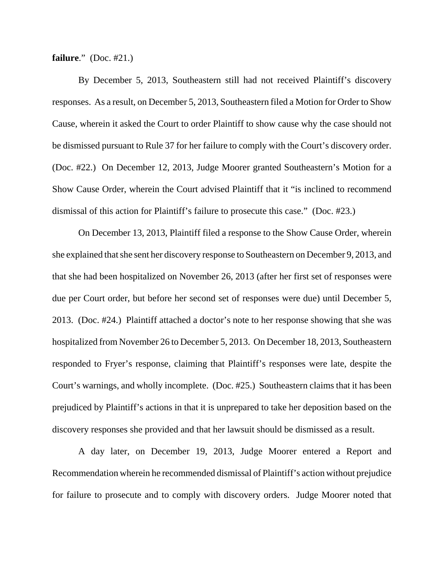**failure**." (Doc. #21.)

By December 5, 2013, Southeastern still had not received Plaintiff's discovery responses. As a result, on December 5, 2013, Southeastern filed a Motion for Order to Show Cause, wherein it asked the Court to order Plaintiff to show cause why the case should not be dismissed pursuant to Rule 37 for her failure to comply with the Court's discovery order. (Doc. #22.) On December 12, 2013, Judge Moorer granted Southeastern's Motion for a Show Cause Order, wherein the Court advised Plaintiff that it "is inclined to recommend dismissal of this action for Plaintiff's failure to prosecute this case." (Doc. #23.)

On December 13, 2013, Plaintiff filed a response to the Show Cause Order, wherein she explained that she sent her discovery response to Southeastern on December 9, 2013, and that she had been hospitalized on November 26, 2013 (after her first set of responses were due per Court order, but before her second set of responses were due) until December 5, 2013. (Doc. #24.) Plaintiff attached a doctor's note to her response showing that she was hospitalized from November 26 to December 5, 2013. On December 18, 2013, Southeastern responded to Fryer's response, claiming that Plaintiff's responses were late, despite the Court's warnings, and wholly incomplete. (Doc. #25.) Southeastern claims that it has been prejudiced by Plaintiff's actions in that it is unprepared to take her deposition based on the discovery responses she provided and that her lawsuit should be dismissed as a result.

A day later, on December 19, 2013, Judge Moorer entered a Report and Recommendation wherein he recommended dismissal of Plaintiff's action without prejudice for failure to prosecute and to comply with discovery orders. Judge Moorer noted that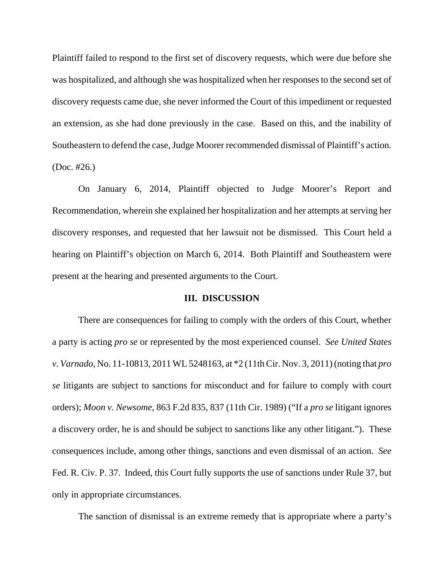Plaintiff failed to respond to the first set of discovery requests, which were due before she was hospitalized, and although she was hospitalized when her responses to the second set of discovery requests came due, she never informed the Court of this impediment or requested an extension, as she had done previously in the case. Based on this, and the inability of Southeastern to defend the case, Judge Moorer recommended dismissal of Plaintiff's action. (Doc. #26.)

On January 6, 2014, Plaintiff objected to Judge Moorer's Report and Recommendation, wherein she explained her hospitalization and her attempts at serving her discovery responses, and requested that her lawsuit not be dismissed. This Court held a hearing on Plaintiff's objection on March 6, 2014. Both Plaintiff and Southeastern were present at the hearing and presented arguments to the Court.

#### **III. DISCUSSION**

There are consequences for failing to comply with the orders of this Court, whether a party is acting *pro se* or represented by the most experienced counsel. *See United States v. Varnado*, No. 11-10813, 2011 WL 5248163, at \*2 (11th Cir. Nov. 3, 2011) (noting that *pro se* litigants are subject to sanctions for misconduct and for failure to comply with court orders); *Moon v. Newsome*, 863 F.2d 835, 837 (11th Cir. 1989) ("If a *pro se* litigant ignores a discovery order, he is and should be subject to sanctions like any other litigant."). These consequences include, among other things, sanctions and even dismissal of an action. *See* Fed. R. Civ. P. 37. Indeed, this Court fully supports the use of sanctions under Rule 37, but only in appropriate circumstances.

The sanction of dismissal is an extreme remedy that is appropriate where a party's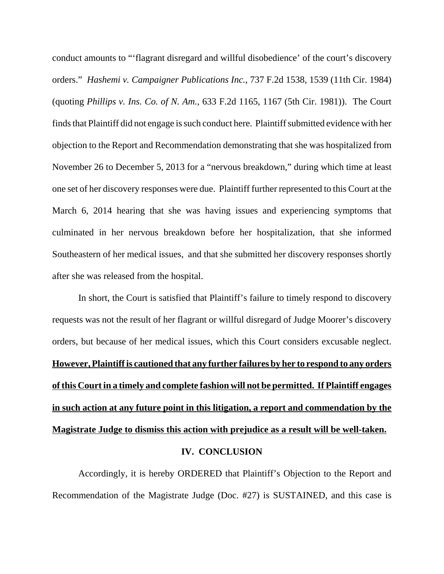conduct amounts to "'flagrant disregard and willful disobedience' of the court's discovery orders." *Hashemi v. Campaigner Publications Inc.*, 737 F.2d 1538, 1539 (11th Cir. 1984) (quoting *Phillips v. Ins. Co. of N. Am.*, 633 F.2d 1165, 1167 (5th Cir. 1981)). The Court finds that Plaintiff did not engage is such conduct here. Plaintiff submitted evidence with her objection to the Report and Recommendation demonstrating that she was hospitalized from November 26 to December 5, 2013 for a "nervous breakdown," during which time at least one set of her discovery responses were due. Plaintiff further represented to this Court at the March 6, 2014 hearing that she was having issues and experiencing symptoms that culminated in her nervous breakdown before her hospitalization, that she informed Southeastern of her medical issues, and that she submitted her discovery responses shortly after she was released from the hospital.

In short, the Court is satisfied that Plaintiff's failure to timely respond to discovery requests was not the result of her flagrant or willful disregard of Judge Moorer's discovery orders, but because of her medical issues, which this Court considers excusable neglect. **However, Plaintiff is cautioned that any further failures by her to respond to any orders of this Court in a timely and complete fashion will not be permitted. If Plaintiff engages in such action at any future point in this litigation, a report and commendation by the Magistrate Judge to dismiss this action with prejudice as a result will be well-taken.**

## **IV. CONCLUSION**

Accordingly, it is hereby ORDERED that Plaintiff's Objection to the Report and Recommendation of the Magistrate Judge (Doc. #27) is SUSTAINED, and this case is